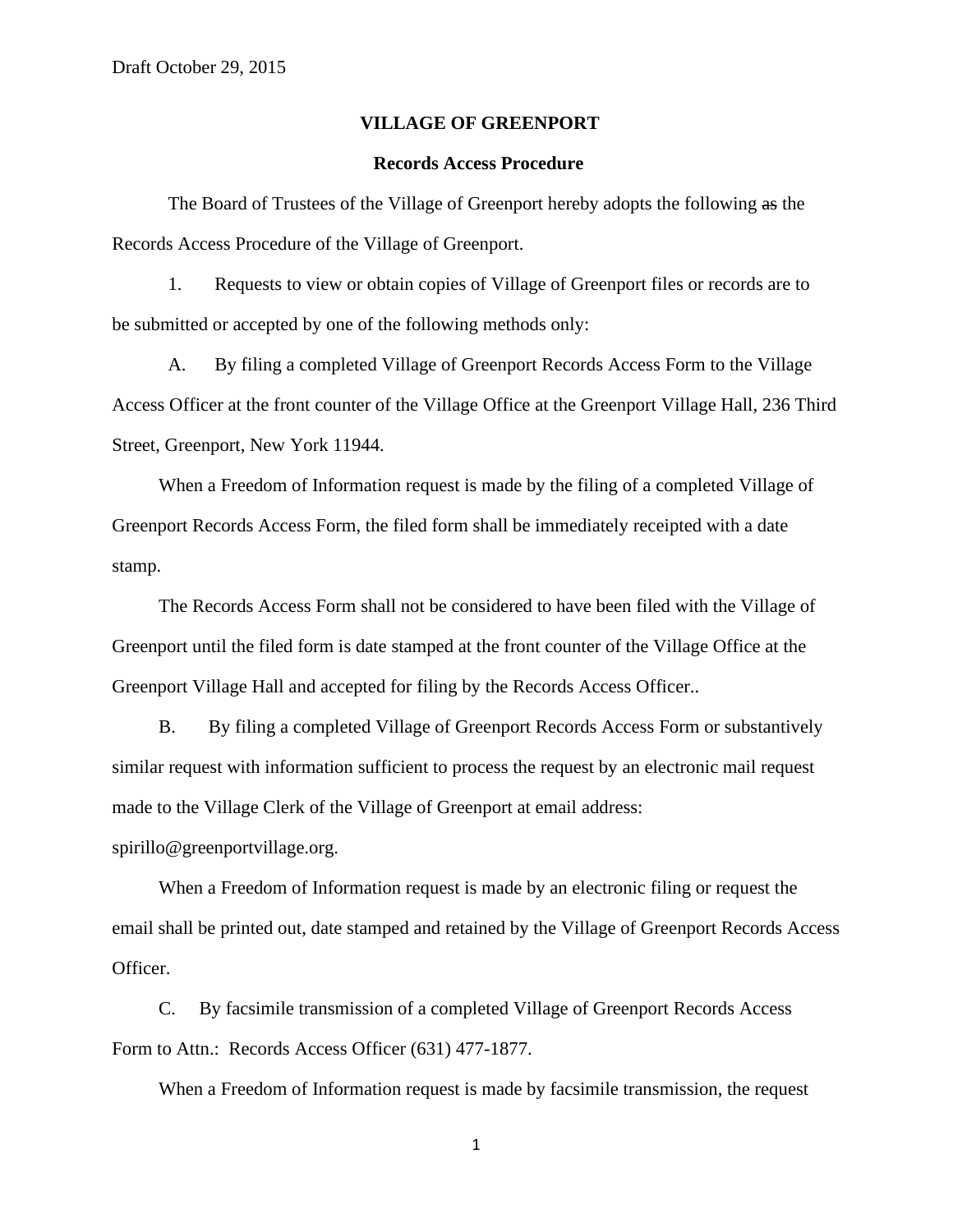## **VILLAGE OF GREENPORT**

## **Records Access Procedure**

The Board of Trustees of the Village of Greenport hereby adopts the following as the Records Access Procedure of the Village of Greenport.

 1. Requests to view or obtain copies of Village of Greenport files or records are to be submitted or accepted by one of the following methods only:

A. By filing a completed Village of Greenport Records Access Form to the Village Access Officer at the front counter of the Village Office at the Greenport Village Hall, 236 Third Street, Greenport, New York 11944.

 When a Freedom of Information request is made by the filing of a completed Village of Greenport Records Access Form, the filed form shall be immediately receipted with a date stamp.

 The Records Access Form shall not be considered to have been filed with the Village of Greenport until the filed form is date stamped at the front counter of the Village Office at the Greenport Village Hall and accepted for filing by the Records Access Officer..

 B. By filing a completed Village of Greenport Records Access Form or substantively similar request with information sufficient to process the request by an electronic mail request made to the Village Clerk of the Village of Greenport at email address:

spirillo@greenportvillage.org.

 When a Freedom of Information request is made by an electronic filing or request the email shall be printed out, date stamped and retained by the Village of Greenport Records Access Officer.

 C. By facsimile transmission of a completed Village of Greenport Records Access Form to Attn.: Records Access Officer (631) 477-1877.

When a Freedom of Information request is made by facsimile transmission, the request

1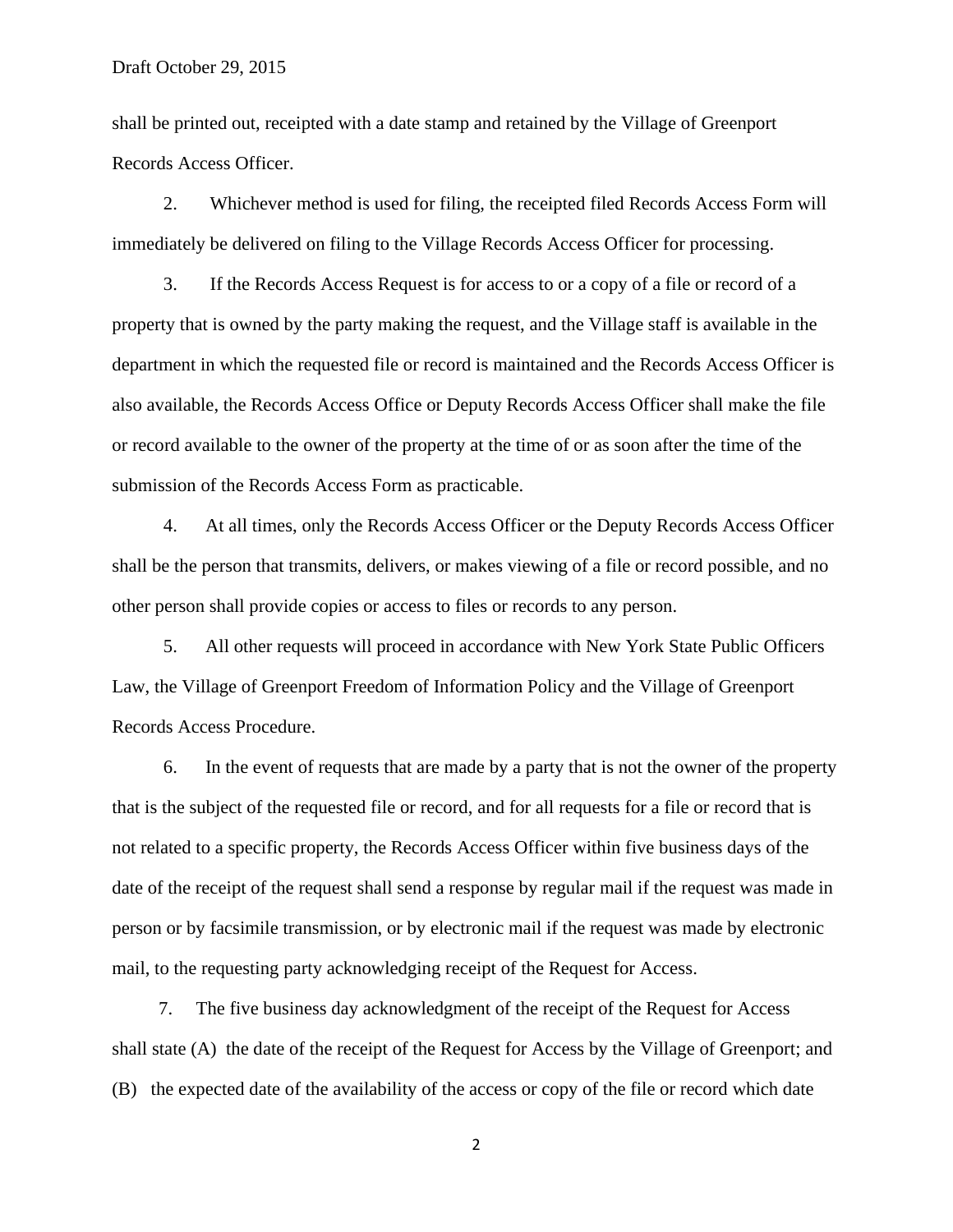shall be printed out, receipted with a date stamp and retained by the Village of Greenport Records Access Officer.

 2. Whichever method is used for filing, the receipted filed Records Access Form will immediately be delivered on filing to the Village Records Access Officer for processing.

 3. If the Records Access Request is for access to or a copy of a file or record of a property that is owned by the party making the request, and the Village staff is available in the department in which the requested file or record is maintained and the Records Access Officer is also available, the Records Access Office or Deputy Records Access Officer shall make the file or record available to the owner of the property at the time of or as soon after the time of the submission of the Records Access Form as practicable.

 4. At all times, only the Records Access Officer or the Deputy Records Access Officer shall be the person that transmits, delivers, or makes viewing of a file or record possible, and no other person shall provide copies or access to files or records to any person.

 5. All other requests will proceed in accordance with New York State Public Officers Law, the Village of Greenport Freedom of Information Policy and the Village of Greenport Records Access Procedure.

 6. In the event of requests that are made by a party that is not the owner of the property that is the subject of the requested file or record, and for all requests for a file or record that is not related to a specific property, the Records Access Officer within five business days of the date of the receipt of the request shall send a response by regular mail if the request was made in person or by facsimile transmission, or by electronic mail if the request was made by electronic mail, to the requesting party acknowledging receipt of the Request for Access.

 7. The five business day acknowledgment of the receipt of the Request for Access shall state (A) the date of the receipt of the Request for Access by the Village of Greenport; and (B) the expected date of the availability of the access or copy of the file or record which date

2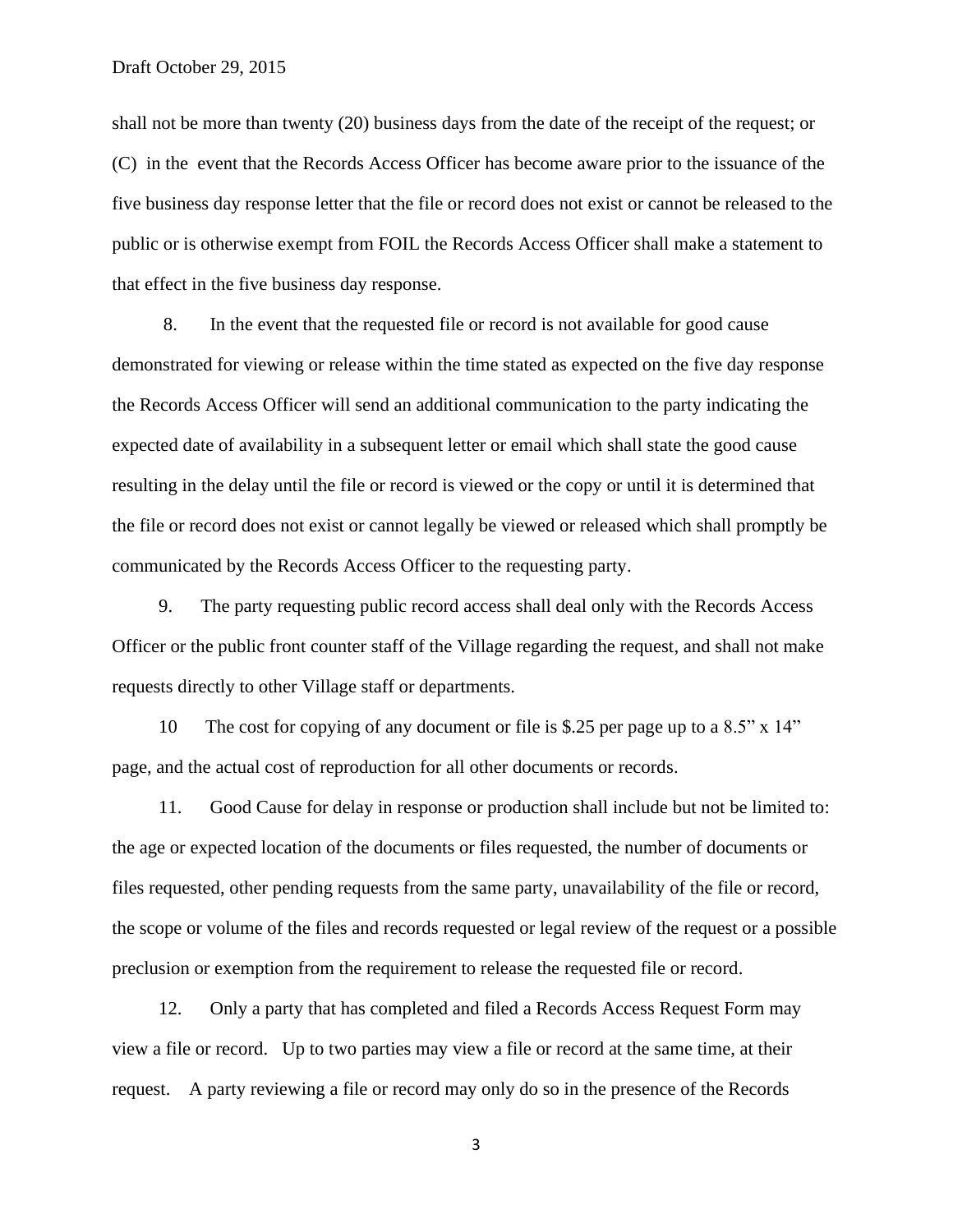shall not be more than twenty (20) business days from the date of the receipt of the request; or (C) in the event that the Records Access Officer has become aware prior to the issuance of the five business day response letter that the file or record does not exist or cannot be released to the public or is otherwise exempt from FOIL the Records Access Officer shall make a statement to that effect in the five business day response.

 8. In the event that the requested file or record is not available for good cause demonstrated for viewing or release within the time stated as expected on the five day response the Records Access Officer will send an additional communication to the party indicating the expected date of availability in a subsequent letter or email which shall state the good cause resulting in the delay until the file or record is viewed or the copy or until it is determined that the file or record does not exist or cannot legally be viewed or released which shall promptly be communicated by the Records Access Officer to the requesting party.

 9. The party requesting public record access shall deal only with the Records Access Officer or the public front counter staff of the Village regarding the request, and shall not make requests directly to other Village staff or departments.

 10 The cost for copying of any document or file is \$.25 per page up to a 8.5" x 14" page, and the actual cost of reproduction for all other documents or records.

 11. Good Cause for delay in response or production shall include but not be limited to: the age or expected location of the documents or files requested, the number of documents or files requested, other pending requests from the same party, unavailability of the file or record, the scope or volume of the files and records requested or legal review of the request or a possible preclusion or exemption from the requirement to release the requested file or record.

 12. Only a party that has completed and filed a Records Access Request Form may view a file or record. Up to two parties may view a file or record at the same time, at their request. A party reviewing a file or record may only do so in the presence of the Records

3